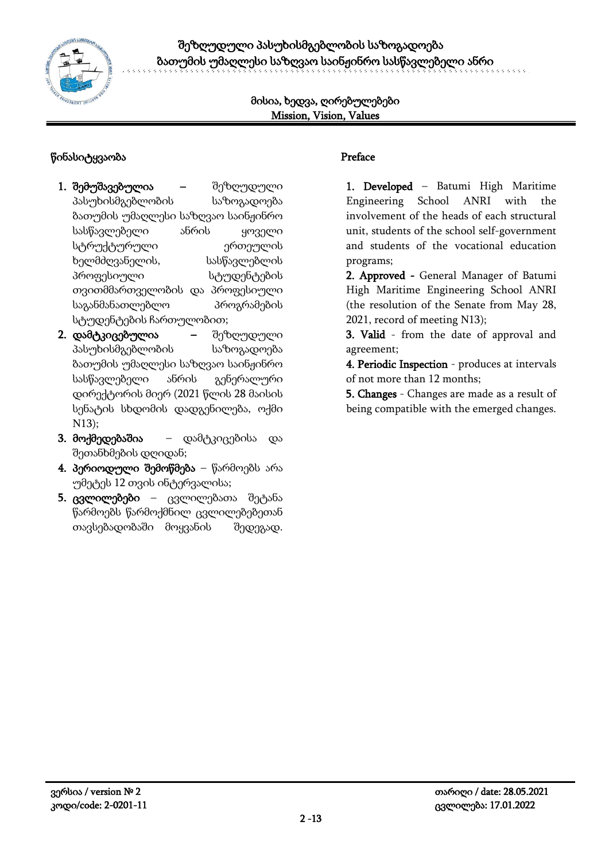

# წინასიტყვაობა Preface

- 1. შემუშავებულია შეზღუდული პასუხისმგებლობის საზოგადოება ბათუმის უმაღლესი საზღვაო საინჟინრო სასწავლებელი ანრის ყოველი სტრუქტურული ერთეულის ხელმძღვანელის, სასწავლებლის პროფესიული სტუდენტების თვითმმართველობის და პროფესიული საგანმანათლებლო პროგრამების სტუდენტების ჩართულობით;
- 2. დამტკიცებულია შეზღუდული პასუხისმგებლობის საზოგადოება ბათუმის უმაღლესი საზღვაო საინჟინრო სასწავლებელი ანრის გენერალური დირექტორის მიერ (2021 წლის 28 მაისის სენატის სხდომის დადგენილება, ოქმი N13);
- 3. მოქმედებაშია დამტკიცებისა და შეთანხმების დღიდან;
- 4. პერიოდული შემოწმება წარმოებს არა უმეტეს 12 თვის ინტერვალისა;
- 5. ცვლილებები ცვლილებათა შეტანა წარმოებს წარმოქმნილ ცვლილებებეთან თავსებადობაში მოყვანის შედეგად.

1. Developed – Batumi High Maritime Engineering School ANRI with the involvement of the heads of each structural unit, students of the school self-government and students of the vocational education programs;

2. Approved - General Manager of Batumi High Maritime Engineering School ANRI (the resolution of the Senate from May 28, 2021, record of meeting N13);

3. Valid - from the date of approval and agreement;

4. Periodic Inspection - produces at intervals of not more than 12 months;

5. Changes - Changes are made as a result of being compatible with the emerged changes.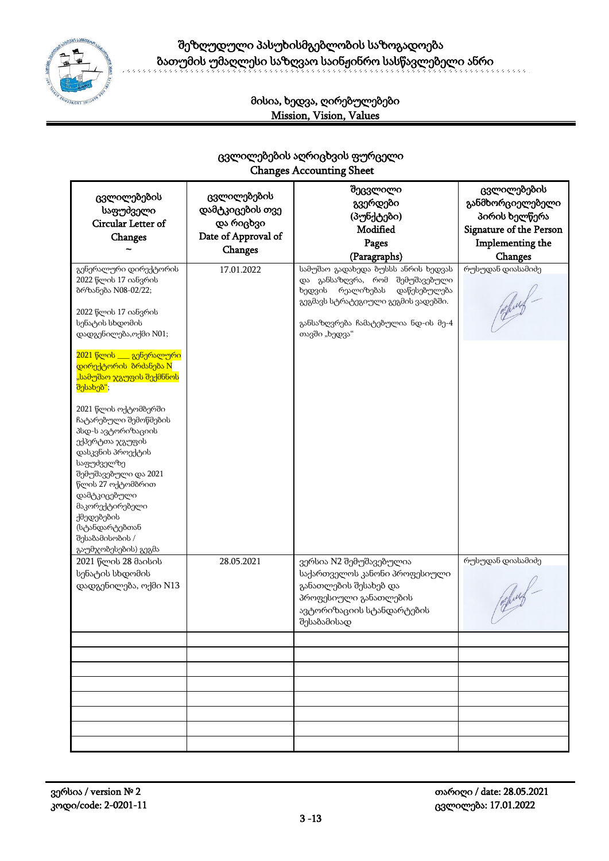

#### ცვლილებების აღრიცხვის ფურცელი Changes Accounting Sheet

| ცვლილებების<br>ცვლილებების<br>დამტკიცების თვე<br>საფუძველი                                                                                                                                                                                                                                                                                                                                                                                                                                                                                                |                     | შეცვლილი<br>გვერდები<br>(პუნქტები)                                                                                                                                                                                         | ცვლილებების<br>განმხორციელებელი<br>პირის ხელწერა |  |
|-----------------------------------------------------------------------------------------------------------------------------------------------------------------------------------------------------------------------------------------------------------------------------------------------------------------------------------------------------------------------------------------------------------------------------------------------------------------------------------------------------------------------------------------------------------|---------------------|----------------------------------------------------------------------------------------------------------------------------------------------------------------------------------------------------------------------------|--------------------------------------------------|--|
| Circular Letter of                                                                                                                                                                                                                                                                                                                                                                                                                                                                                                                                        | და რიცხვი           | Modified                                                                                                                                                                                                                   | <b>Signature of the Person</b>                   |  |
| Changes                                                                                                                                                                                                                                                                                                                                                                                                                                                                                                                                                   | Date of Approval of | Pages                                                                                                                                                                                                                      | Implementing the                                 |  |
|                                                                                                                                                                                                                                                                                                                                                                                                                                                                                                                                                           | Changes             |                                                                                                                                                                                                                            |                                                  |  |
| გენერალური დირექტორის<br>2022 წლის 17 იანვრის<br>ბრზანება N08-02/22;<br>2022 წლის 17 იანვრის<br>სენატის სხდომის<br>დადგენილება,ოქმი N01;<br>2021 წლის ___ გენერალური<br>დირექტორის ბრძანება N<br><mark>"სამუშაო ჯგუფის შექმნნოს</mark><br><mark>შესახებ"</mark> ;<br>2021 წლის ოქტომბერში<br>ჩატარებული შემოწმების<br>პსდ-ს ავტორიზაციის<br>ექპერტთა ჯგუფის<br>დასკვნის პროექტის<br>საფუძველზე<br>შემუშავებული და 2021<br>წლის 27 ოქტომბრით<br>დამტკიცებული<br>მაკორექტირებელი<br>ქმედებების<br>(სტანდარტებთან<br>შესაბამისობის /<br>გაუმჯობესების) გეგმა | 17.01.2022          | (Paragraphs)<br>სამუშაო გადახედა ბუსსს ანრის ხედვას<br>და განსაზღვრა, რომ შემუშავებული<br>ხედვის რეალიზებას<br>დაწესებულება<br>გეგმავს სტრატეგიული გეგმის ვადებში.<br>განსაზღვრება ჩამატებულია ნდ-ის მე-4<br>თავში "ხედვა" | Changes<br>რუსუდან დიასამიძე                     |  |
| 2021 წლის 28 მაისის<br>სენატის სხდომის<br>დადგენილება, ოქმი N13                                                                                                                                                                                                                                                                                                                                                                                                                                                                                           | 28.05.2021          | ვერსია N2 შემუშავებულია<br>საქართველოს კანონი პროფესიული<br>განათლების შესახებ და<br>პროფესიული განათლების<br>ავტორიზაციის სტანდარტების<br>შესაბამისად                                                                     | რუსუდან დიასამიმე                                |  |
|                                                                                                                                                                                                                                                                                                                                                                                                                                                                                                                                                           |                     |                                                                                                                                                                                                                            |                                                  |  |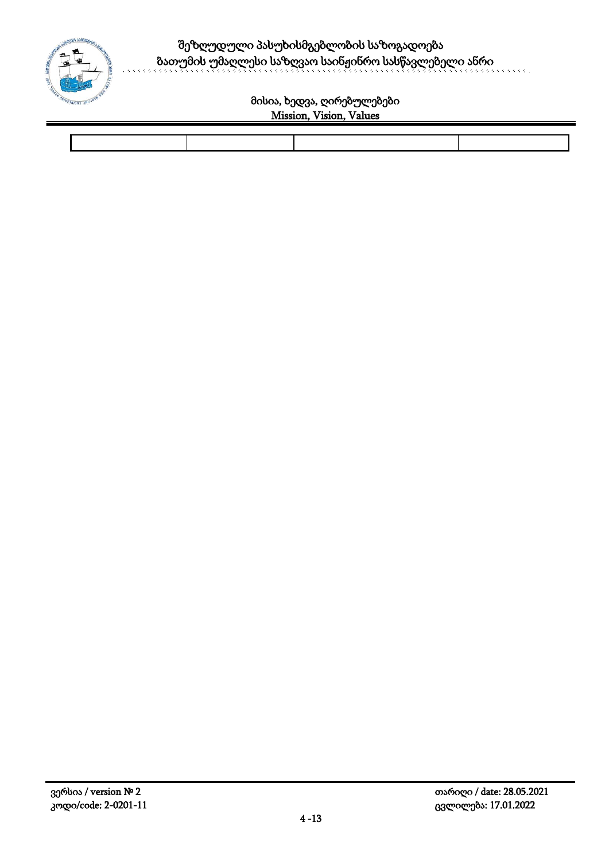

შეზღუდული პასუხისმგებლობის საზოგადოება ბათუმის უმაღლესი საზღვაო საინჟინრო სასწავლებელი ანრი in hole.

#### მისია, ხედვა, ღირებულებები Mission, Vision, Values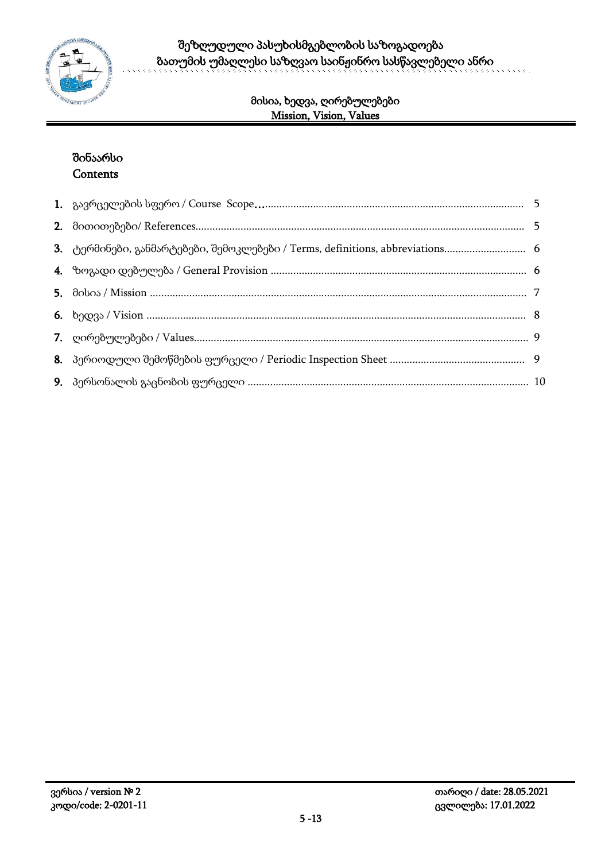

## შინაარსი **Contents**

| 3. ტერმინები, განმარტებები, შემოკლებები / Terms, definitions, abbreviations 6 |  |
|-------------------------------------------------------------------------------|--|
|                                                                               |  |
|                                                                               |  |
|                                                                               |  |
|                                                                               |  |
|                                                                               |  |
|                                                                               |  |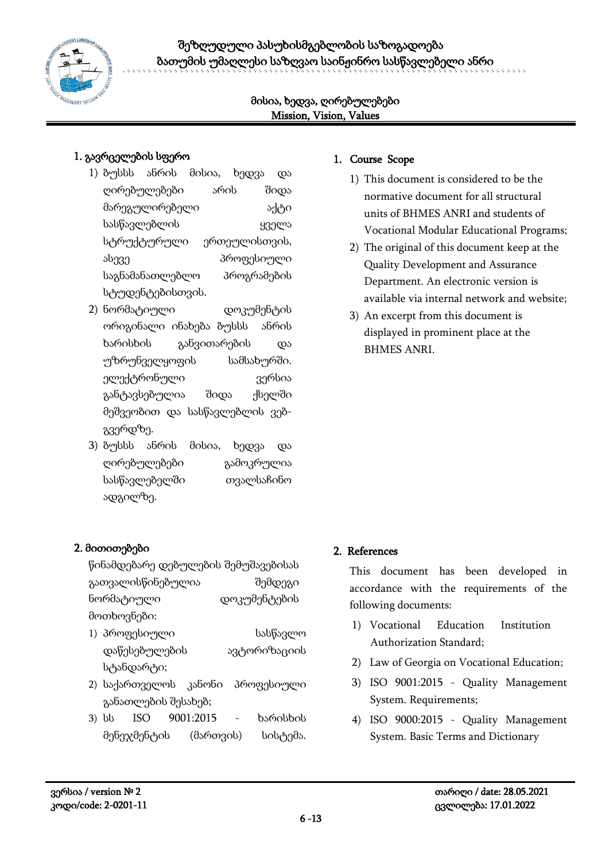

# 1. გავრცელების სფერო

- 1) ბუსსს ანრის მისია, ხედვა და ღირებულებები არის შიდა მარეგულირებელი აქტი სასწავლებლის ყველა სტრუქტურული ერთეულისთვის, ასევე პროფესიული საგნამანათლებლო პროგრამების სტუდენტებისთვის.
- 2) ნორმატიული დოკუმენტის ორიგინალი ინახება ბუსსს ანრის ხარისხის განვითარების და უზრუნველყოფის სამსახურში. ელექტრონული ვერსია განტავსებულია შიდა ქსელში მეშვეობით და სასწავლებლის ვებგვერდზე.
- 3) ბუსსს ანრის მისია, ხედვა და ღირებულებები გამოკრულია სასწავლებელში თვალსაჩინო ადგილზე.

# 2. მითითებები

წინამდებარე დებულების შემუშავებისას გათვალისწინებულია შემდეგი ნორმატიული დოკუმენტების მოთხოვნები:

- 1) პროფესიული სასწავლო დაწესებულების ავტორიზაციის სტანდარტი;
- 2) საქართველოს კანონი პროფესიული განათლების შესახებ;
- 3) სს ISO 9001:2015 ხარისხის მენეჯმენტის (მართვის) სისტემა.

# 1. Course Scope

- 1) This document is considered to be the normative document for all structural units of BHMES ANRI and students of Vocational Modular Educational Programs;
- 2) The original of this document keep at the Quality Development and Assurance Department. An electronic version is available via internal network and website;
- 3) An excerpt from this document is displayed in prominent place at the BHMES ANRI.

# 2. References

This document has been developed in accordance with the requirements of the following documents:

- 1) Vocational Education Institution Authorization Standard;
- 2) Law of Georgia on Vocational Education;
- 3) ISO 9001:2015 Quality Management System. Requirements;
- 4) ISO 9000:2015 Quality Management System. Basic Terms and Dictionary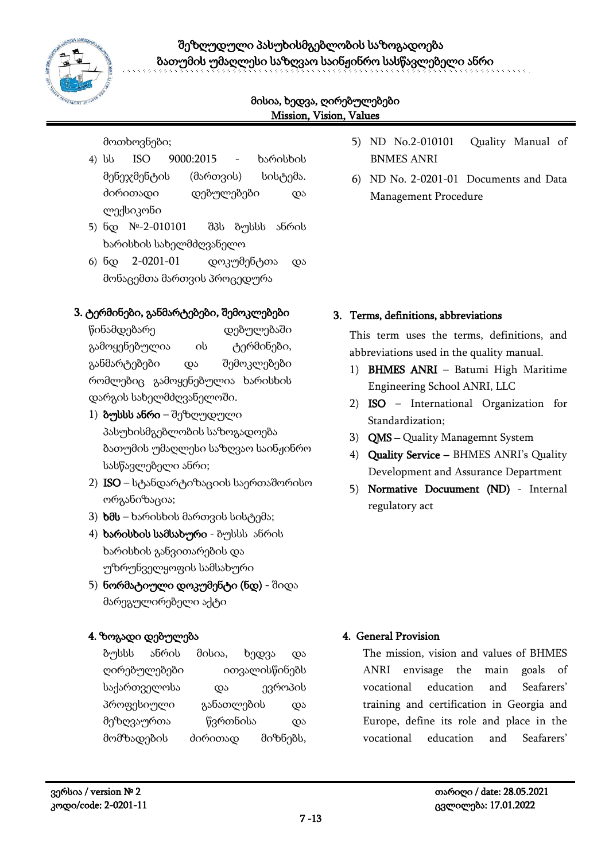# შეზღუდული პასუხისმგებლობის საზოგადოება



ბათუმის უმაღლესი საზღვაო საინჟინრო სასწავლებელი ანრი

#### მისია, ხედვა, ღირებულებები Mission, Vision, Values

მოთხოვნები;

- 4) სს ISO 9000:2015 ხარისხის მენე $\chi$ მენტის (მართვის) სისტემა. ძირითადი დებულებები და ლექსიკონი
- 5) ნდ №-2-010101 შპს ბუსსს ანრის ხარისხის სახელმძღვანელო
- 6) ნდ 2-0201-01 დოკუმენტთა და მონაცემთა მართვის პროცედურა

# 3. ტერმინები, განმარტებები, შემოკლებები

წინამდებარე დებულებაში გამოყენებულია ის ტერმინები, განმარტებები და შემოკლებები რომლებიც გამოყენებულია ხარისხის დარგის სახელმძღვანელოში.

- 1) ბუსსს ანრი შეზღუდული პასუხისმგებლობის საზოგადოება ბათუმის უმაღლესი საზღვაო საინჟინრო სასწავლებელი ანრი;
- 2)  $ISO b$ ტანდარტიზაციის საერთაშორისო ორგანიზაცია;
- 3)  $\boldsymbol{b}$ მს ხარისხის მართვის სისტემა;
- 4) ხარისხის სამსახური ბუსსს ანრის ხარისხის განვითარების და უზრუნველყოფის სამსახური
- 5) ნორმატიული დოკუმენტი (ნდ) შიდა მარეგულირებელი აქტი

# 4. ზოგადი დებულება

ბუსსს ანრის მისია, ხედვა და ღირებულებები ითვალისწინებს საქართველოსა და ევროპის პროფესიული განათლების და მეზღვაურთა წვრთნისა და მომზადების ძირითად მიზნებს,

- 5) ND No.2-010101 Quality Manual of BNMES ANRI
- 6) ND No. 2-0201-01 Documents and Data Management Procedure

# 3. Terms, definitions, abbreviations

This term uses the terms, definitions, and abbreviations used in the quality manual.

- 1) BHMES ANRI Batumi High Maritime Engineering School ANRI, LLC
- 2) ISO International Organization for Standardization;
- 3) QMS Quality Managemnt System
- 4) Quality Service BHMES ANRI's Quality Development and Assurance Department
- 5) Normative Docuument (ND) Internal regulatory act

# 4. General Provision

The mission, vision and values of BHMES ANRI envisage the main goals of vocational education and Seafarers' training and certification in Georgia and Europe, define its role and place in the vocational education and Seafarers'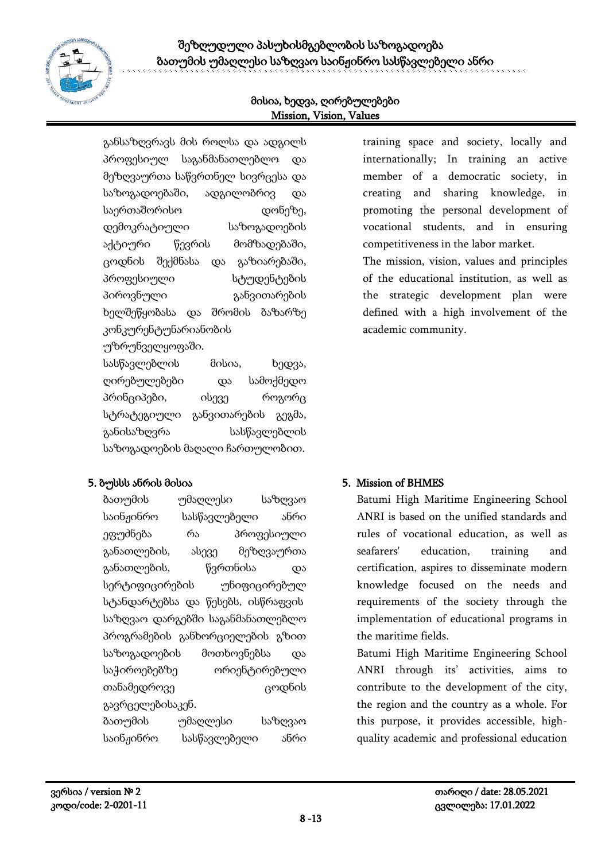

განსაზღვრავს მის როლსა და ადგილს პროფესიულ საგანმანათლებლო და მეზღვაურთა საწვრთნელ სივრცესა და საზოგადოებაში, ადგილობრივ და საერთაშორისო დონეზე, დემოკრატიული საზოგადოების აქტიური წევრის მომზადებაში, ცოდნის შექმნასა და გაზიარებაში, პროფესიული სტუდენტების პიროვნული განვითარების ხელშეწყობასა და შრომის ბაზარზე კონკურენტუნარიანობის უზრუნველყოფაში. სასწავლებლის მისია, ხედვა, ღირებულებები და სამოქმედო პრინციპები, ისევე როგორც სტრატეგიული განვითარების გეგმა, განისაზღვრა სასწავლებლის საზოგადოების მაღალი ჩართულობით.

#### 5. ბუსსს ანრის მისია

ბათუმის უმაღლესი საზღვაო საინჟინრო სასწავლებელი ანრი ეფუძნება რა პროფესიული განათლების, ასევე მეზღვაურთა განათლების, წვრთნისა და სერტიფიცირების უნიფიცირებულ სტანდარტებსა და წესებს, ისწრაფვის საზღვაო დარგებში საგანმანათლებლო პროგრამების განხორციელების გზით საზოგადოების მოთხოვნებსა და საჭიროებებზე ორიენტირებული თანამედროვე ცოდნის გავრცელებისაკენ.

ბათუმის უმაღლესი საზღვაო საინჟინრო სასწავლებელი ანრი

training space and society, locally and internationally; In training an active member of a democratic society, in creating and sharing knowledge, in promoting the personal development of vocational students, and in ensuring competitiveness in the labor market.

The mission, vision, values and principles of the educational institution, as well as the strategic development plan were defined with a high involvement of the academic community.

#### 5. Mission of BHMES

Batumi High Maritime Engineering School ANRI is based on the unified standards and rules of vocational education, as well as seafarers' education, training and certification, aspires to disseminate modern knowledge focused on the needs and requirements of the society through the implementation of educational programs in the maritime fields.

Batumi High Maritime Engineering School ANRI through its' activities, aims to contribute to the development of the city, the region and the country as a whole. For this purpose, it provides accessible, highquality academic and professional education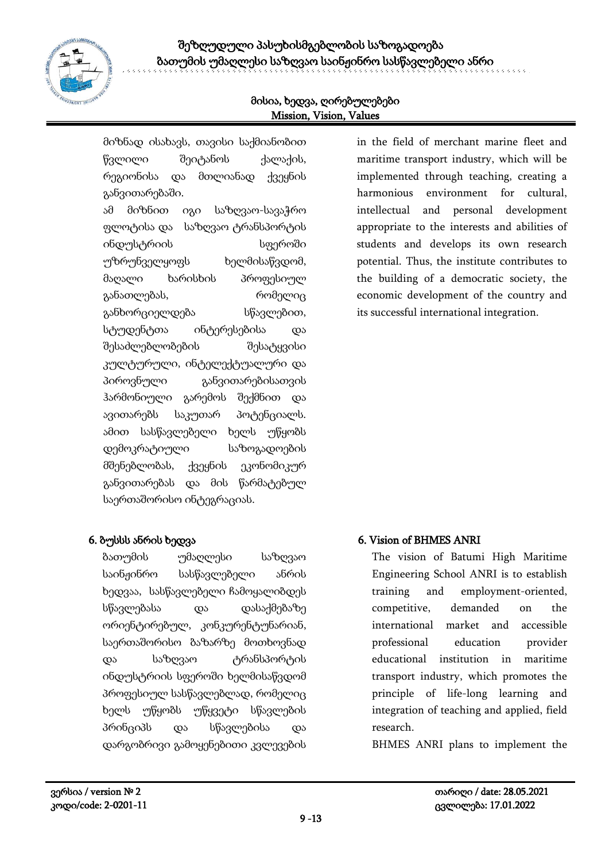

მიზნად ისახავს, თავისი საქმიანობით წვლილი შეიტანოს ქალაქის, რეგიონისა და მთლიანად ქვეყნის განვითარებაში. ამ მიზნით იგი საზღვაო-სავაჭრო ფლოტისა და საზღვაო ტრანსპორტის ინდუსტრიის სფეროში უზრუნველყოფს ხელმისაწვდომ, მაღალი ხარისხის პროფესიულ განათლებას, რომელიც განხორციელდება სწავლებით, სტუდენტთა ინტერესებისა და შესაძლებლობების შესატყვისი კულტურული, ინტელექტუალური და პიროვნული განვითარებისათვის ჰარმონიული გარემოს შექმნით და ავითარებს საკუთარ პოტენციალს. ამით სასწავლებელი ხელს უწყობს დემოკრატიული საზოგადოების მშენებლობას, ქვეყნის ეკონომიკურ განვითარებას და მის წარმატებულ საერთაშორისო ინტეგრაციას.

#### 6. ბუსსს ანრის ხედვა

ბათუმის უმაღლესი საზღვაო საინჟინრო სასწავლებელი ანრის ხედვაა, სასწავლებელი ჩამოყალიბდეს სწავლებასა და დასაქმებაზე ორიენტირებულ, კონკურენტუნარიან, საერთაშორისო ბაზარზე მოთხოვნად და საზღვაო ტრანსპორტის ინდუსტრიის სფეროში ხელმისაწვდომ პროფესიულ სასწავლებლად, რომელიც ხელს უწყობს უწყვეტი სწავლების პრინციპს და სწავლებისა და დარგობრივი გამოყენებითი კვლევების in the field of merchant marine fleet and maritime transport industry, which will be implemented through teaching, creating a harmonious environment for cultural, intellectual and personal development appropriate to the interests and abilities of students and develops its own research potential. Thus, the institute contributes to the building of a democratic society, the economic development of the country and its successful international integration.

#### 6. Vision of BHMES ANRI

The vision of Batumi High Maritime Engineering School ANRI is to establish training and employment-oriented, competitive, demanded on the international market and accessible professional education provider educational institution in maritime transport industry, which promotes the principle of life-long learning and integration of teaching and applied, field research.

BHMES ANRI plans to implement the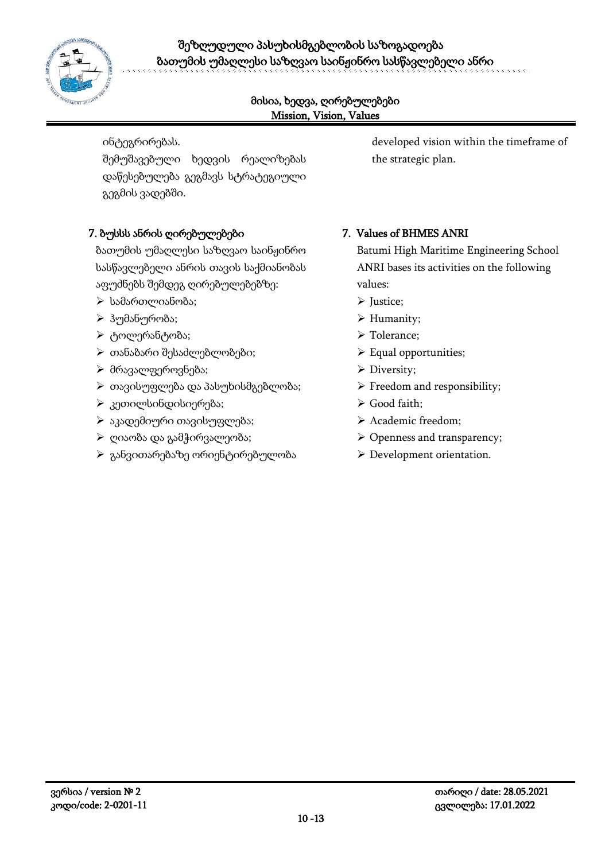# შეზღუდული პასუხისმგებლობის საზოგადოება



ბათუმის უმაღლესი საზღვაო საინჟინრო სასწავლებელი ანრი

### მისია, ხედვა, ღირებულებები Mission, Vision, Values

## ინტეგრირებას.

შემუშავებული ხედვის რეალიზებას დაწესებულება გეგმავს სტრატეგიული გეგმის ვადებში.

# 7. ბუსსს ანრის ღირებულებები

ბათუმის უმაღლესი საზღვაო საინჟინრო სასწავლებელი ანრის თავის საქმიანობას აფუძნებს შემდეგ ღირებულებებზე:

- $\triangleright$  სამართლიანობა;
- $\triangleright$  3 უმანურობა;
- $\triangleright$  ტოლერანტობა;
- $\triangleright$  თანაბარი შესაძლებლობები;
- $▶$  მრავალფეროვნება;
- $\triangleright$  თავისუფლება და პასუხისმგებლობა;
- $\triangleright$  კეთილსინდისიერება;
- $\triangleright$  აკადემიური თავისუფლება;
- $\triangleright$  ღიაობა და გამჭირვალეობა;
- $\triangleright$  განვითარებაზე ორიენტირებულობა

developed vision within the timeframe of the strategic plan.

# 7. Values of BHMES ANRI

Batumi High Maritime Engineering School ANRI bases its activities on the following values:

- > Justice;
- > Humanity;
- > Tolerance;
- $\triangleright$  Equal opportunities;
- **▶ Diversity;**
- $\triangleright$  Freedom and responsibility;
- Good faith;
- > Academic freedom:
- Openness and transparency;
- Development orientation.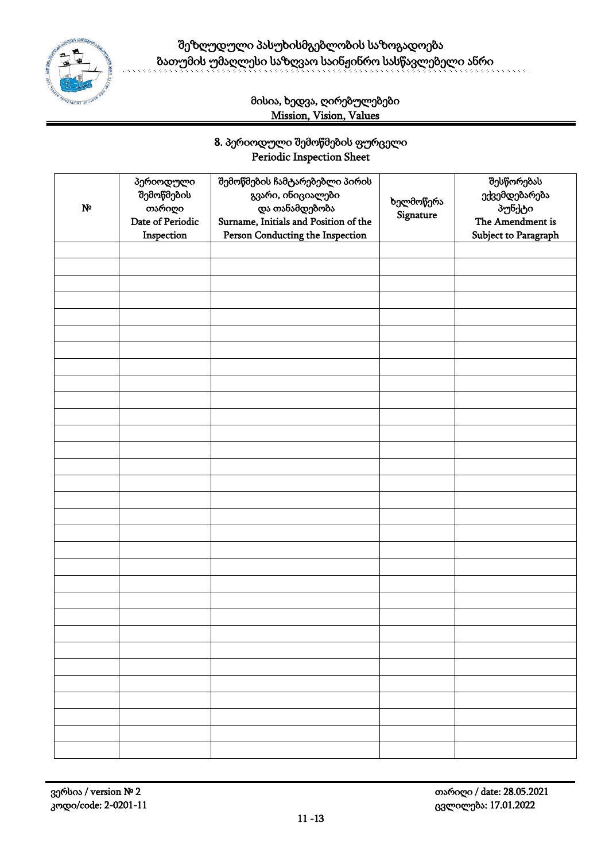

#### 8. პერიოდული შემოწმების ფურცელი Periodic Inspection Sheet

| $\mathbf{N}^{\mathbf{0}}$ | პერიოდული<br>შემოწმების<br>თარიღი<br>Date of Periodic<br>Inspection | შემოწმების ჩამტარებებლი პირის<br>გვარი, ინიციალები<br>და თანამდებობა<br>Surname, Initials and Position of the<br>Person Conducting the Inspection | ხელმოწერა<br>Signature | შესწორებას<br>ექვემდებარება<br>პუნქტი<br>The Amendment is<br>Subject to Paragraph |
|---------------------------|---------------------------------------------------------------------|---------------------------------------------------------------------------------------------------------------------------------------------------|------------------------|-----------------------------------------------------------------------------------|
|                           |                                                                     |                                                                                                                                                   |                        |                                                                                   |
|                           |                                                                     |                                                                                                                                                   |                        |                                                                                   |
|                           |                                                                     |                                                                                                                                                   |                        |                                                                                   |
|                           |                                                                     |                                                                                                                                                   |                        |                                                                                   |
|                           |                                                                     |                                                                                                                                                   |                        |                                                                                   |
|                           |                                                                     |                                                                                                                                                   |                        |                                                                                   |
|                           |                                                                     |                                                                                                                                                   |                        |                                                                                   |
|                           |                                                                     |                                                                                                                                                   |                        |                                                                                   |
|                           |                                                                     |                                                                                                                                                   |                        |                                                                                   |
|                           |                                                                     |                                                                                                                                                   |                        |                                                                                   |
|                           |                                                                     |                                                                                                                                                   |                        |                                                                                   |
|                           |                                                                     |                                                                                                                                                   |                        |                                                                                   |
|                           |                                                                     |                                                                                                                                                   |                        |                                                                                   |
|                           |                                                                     |                                                                                                                                                   |                        |                                                                                   |
|                           |                                                                     |                                                                                                                                                   |                        |                                                                                   |
|                           |                                                                     |                                                                                                                                                   |                        |                                                                                   |
|                           |                                                                     |                                                                                                                                                   |                        |                                                                                   |
|                           |                                                                     |                                                                                                                                                   |                        |                                                                                   |
|                           |                                                                     |                                                                                                                                                   |                        |                                                                                   |
|                           |                                                                     |                                                                                                                                                   |                        |                                                                                   |
|                           |                                                                     |                                                                                                                                                   |                        |                                                                                   |
|                           |                                                                     |                                                                                                                                                   |                        |                                                                                   |
|                           |                                                                     |                                                                                                                                                   |                        |                                                                                   |
|                           |                                                                     |                                                                                                                                                   |                        |                                                                                   |
|                           |                                                                     |                                                                                                                                                   |                        |                                                                                   |
|                           |                                                                     |                                                                                                                                                   |                        |                                                                                   |
|                           |                                                                     |                                                                                                                                                   |                        |                                                                                   |
|                           |                                                                     |                                                                                                                                                   |                        |                                                                                   |
|                           |                                                                     |                                                                                                                                                   |                        |                                                                                   |

֬֘֒

 $\mathcal{E}_\mathrm{r}/\mathcal{E}_\mathrm{r}$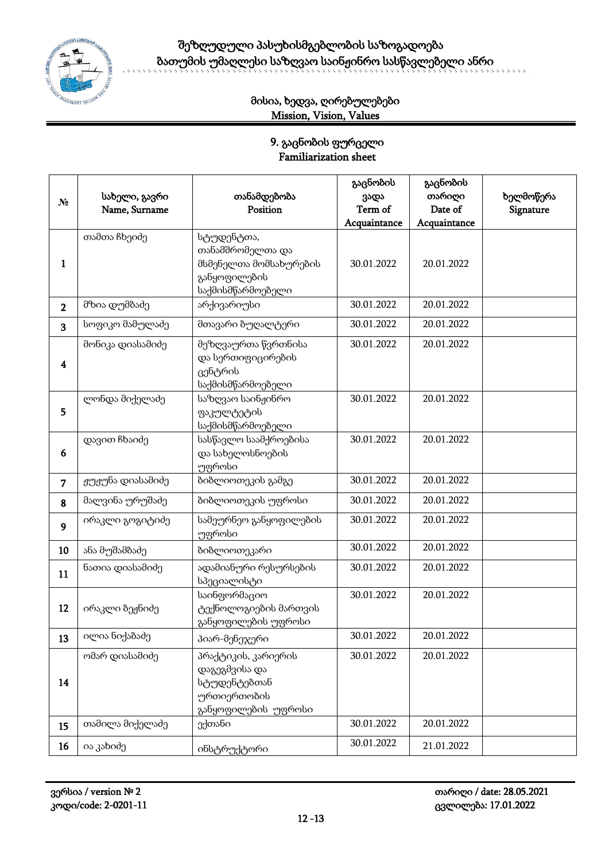

#### 9. გაცნობის ფურცელი Familiarization sheet

| $N_2$            | სახელი, გავრი<br>Name, Surname | თანამდებობა<br>Position                                                                       | გაცნობის<br>ვადა<br>Term of | გაცნობის<br>თარიღი<br>Date of | ხელმოწერა<br>Signature |
|------------------|--------------------------------|-----------------------------------------------------------------------------------------------|-----------------------------|-------------------------------|------------------------|
|                  |                                |                                                                                               | Acquaintance                | Acquaintance                  |                        |
| 1                | თამთა ჩხეიძე                   | სტუდენტთა,<br>თანამშრომელთა და<br>მსმენელთა მომსახურების<br>განყოფილების<br>საქმისმწარმოებელი | 30.01.2022                  | 20.01.2022                    |                        |
| $\overline{2}$   | მზია დუმბაძე                   | არქივარიუსი                                                                                   | 30.01.2022                  | 20.01.2022                    |                        |
| 3                | სოფიკო მამულაძე                | მთავარი ბუღალტერი                                                                             | 30.01.2022                  | 20.01.2022                    |                        |
| 4                | მონიკა დიასამიძე               | მეზღვაურთა წვრთნისა<br>და სერთიფიცირების<br>ცენტრის<br>საქმისმწარმოებელი                      | 30.01.2022                  | 20.01.2022                    |                        |
| 5                | ლონდა მიქელაძე                 | საზღვაო საინჟინრო<br>ფაკულტეტის<br>საქმისმწარმოებელი                                          | 30.01.2022                  | 20.01.2022                    |                        |
| 6                | დავით ჩხაიძე                   | სასწავლო საამქროებისა<br>და სახელოსნოების<br>უფროსი                                           | 30.01.2022                  | 20.01.2022                    |                        |
| $\overline{7}$   | ჟუჟუნა დიასამიძე               | ბიბლიოთეკის გამგე                                                                             | 30.01.2022                  | 20.01.2022                    |                        |
| 8                | მალვინა ურუშაძე                | ბიბლიოთეკის უფროსი                                                                            | 30.01.2022                  | 20.01.2022                    |                        |
| $\boldsymbol{9}$ | ირაკლი გოგიტიძე                | სამეურნეო განყოფილების<br>უფროსი                                                              | 30.01.2022                  | 20.01.2022                    |                        |
| 10               | ანა მუშამბაძე                  | ბიბლიოთეკარი                                                                                  | 30.01.2022                  | 20.01.2022                    |                        |
| 11               | ნათია დიასამიძე                | ადამიანური რესურსების<br>სპეციალისტი                                                          | 30.01.2022                  | 20.01.2022                    |                        |
| 12               | ირაკლი ბეჟნიძე                 | საინფორმაციო<br>ტექნოლოგიების მართვის<br>განყოფილების უფროსი                                  | 30.01.2022                  | 20.01.2022                    |                        |
| 13               | ილია ნიქაბაძე                  | პიარ-მენეჯერი                                                                                 | 30.01.2022                  | 20.01.2022                    |                        |
| 14               | ომარ დიასამიძე                 | პრაქტიკის, კარიერის<br>დაგეგმვისა და<br>სტუდენტებთან<br>ურთიერთობის<br>განყოფილების უფროსი    | 30.01.2022                  | 20.01.2022                    |                        |
| 15               | თამილა მიქელაძე                | ექთანი                                                                                        | 30.01.2022                  | 20.01.2022                    |                        |
| 16               | ია კახიძე                      | ინსტრუქტორი                                                                                   | 30.01.2022                  | 21.01.2022                    |                        |

֬֘֒

 $\mathcal{L}_\mathrm{c} \mathcal{L}_\mathrm{c}$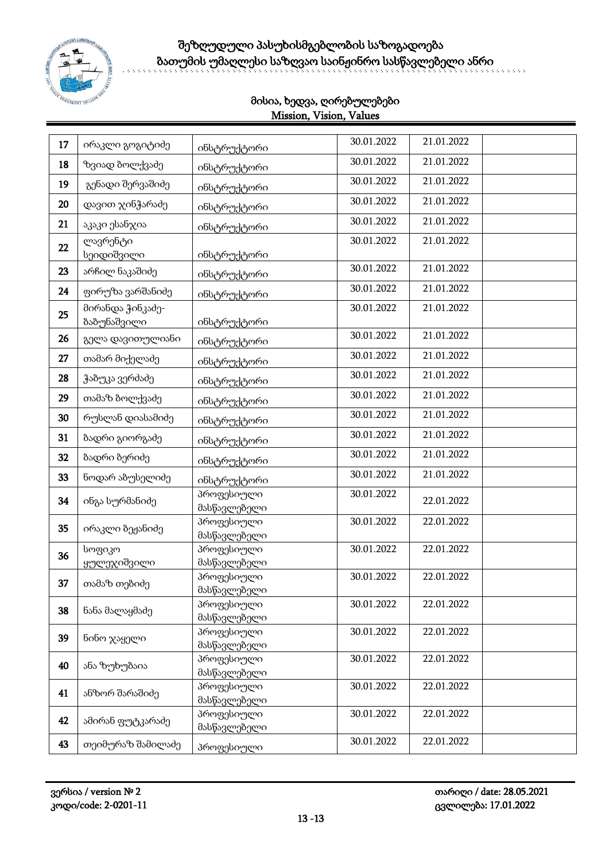

# შეზღუდული პასუხისმგებლობის საზოგადოება ბათუმის უმაღლესი საზღვაო საინჟინრო სასწავლებელი ანრი

#### მისია, ხედვა, ღირებულებები Mission, Vision, Values

| 17 | ირაკლი გოგიტიძე   | ინსტრუქტორი  | 30.01.2022 | 21.01.2022 |  |
|----|-------------------|--------------|------------|------------|--|
| 18 | ზვიად ბოლქვაძე    | ინსტრუქტორი  | 30.01.2022 | 21.01.2022 |  |
| 19 | გენადი შერვაშიძე  | ინსტრუქტორი  | 30.01.2022 | 21.01.2022 |  |
| 20 | დავით ჯინჭარაძე   | ინსტრუქტორი  | 30.01.2022 | 21.01.2022 |  |
| 21 | აკაკი ესანჯია     | ინსტრუქტორი  | 30.01.2022 | 21.01.2022 |  |
| 22 | ლავრენტი          |              | 30.01.2022 | 21.01.2022 |  |
|    | სეიდიშვილი        | ინსტრუქტორი  |            |            |  |
| 23 | არჩილ ნაკაშიძე    | ინსტრუქტორი  | 30.01.2022 | 21.01.2022 |  |
| 24 | ფირუზა ვარშანიძე  | ინსტრუქტორი  | 30.01.2022 | 21.01.2022 |  |
|    | მირანდა ჭინკაძე-  |              | 30.01.2022 | 21.01.2022 |  |
| 25 | ბაბუნაშვილი       | ინსტრუქტორი  |            |            |  |
| 26 | გელა დავითულიანი  | ინსტრუქტორი  | 30.01.2022 | 21.01.2022 |  |
| 27 | თამარ მიქელაძე    | ინსტრუქტორი  | 30.01.2022 | 21.01.2022 |  |
| 28 | ჭაბუკა ვერძაძე    | ინსტრუქტორი  | 30.01.2022 | 21.01.2022 |  |
| 29 | თამაზ ბოლქვაძე    | ინსტრუქტორი  | 30.01.2022 | 21.01.2022 |  |
| 30 | რუსლან დიასამიძე  | ინსტრუქტორი  | 30.01.2022 | 21.01.2022 |  |
| 31 | ბადრი გიორგაძე    | ინსტრუქტორი  | 30.01.2022 | 21.01.2022 |  |
| 32 | ბადრი ბერიძე      | ინსტრუქტორი  | 30.01.2022 | 21.01.2022 |  |
| 33 | ნოდარ აბუსელიძე   | ინსტრუქტორი  | 30.01.2022 | 21.01.2022 |  |
|    |                   | პროფესიული   | 30.01.2022 |            |  |
| 34 | ინგა სურმანიძე    | მასწავლებელი |            | 22.01.2022 |  |
|    |                   | პროფესიული   | 30.01.2022 | 22.01.2022 |  |
| 35 | ირაკლი ბეჟანიძე   | მასწავლებელი |            |            |  |
|    | სოფიკო            | პროფესიული   | 30.01.2022 | 22.01.2022 |  |
| 36 | ყულეჯიშვილი       | მასწავლებელი |            |            |  |
|    |                   | პროფესიული   | 30.01.2022 | 22.01.2022 |  |
| 37 | თამაზ თებიძე      | მასწავლებელი |            |            |  |
|    |                   | პროფესიული   | 30.01.2022 | 22.01.2022 |  |
| 38 | ნანა მალაყმაძე    | მასწავლებელი |            |            |  |
| 39 |                   | პროფესიული   | 30.01.2022 | 22.01.2022 |  |
|    | ნინო ჯაყელი       | მასწავლებელი |            |            |  |
| 40 | ანა ზუხუბაია      | პროფესიული   | 30.01.2022 | 22.01.2022 |  |
|    |                   | მასწავლებელი |            |            |  |
| 41 | ანზორ შარაშიძე    | პროფესიული   | 30.01.2022 | 22.01.2022 |  |
|    |                   | მასწავლებელი |            |            |  |
| 42 | ამირან ფუტკარაძე  | პროფესიული   | 30.01.2022 | 22.01.2022 |  |
|    |                   | მასწავლებელი |            |            |  |
| 43 | თეიმურაზ შამილაძე | პროფესიული   | 30.01.2022 | 22.01.2022 |  |
|    |                   |              |            |            |  |

 $\mathcal{L}_\mathrm{c} \mathcal{L}_\mathrm{c}$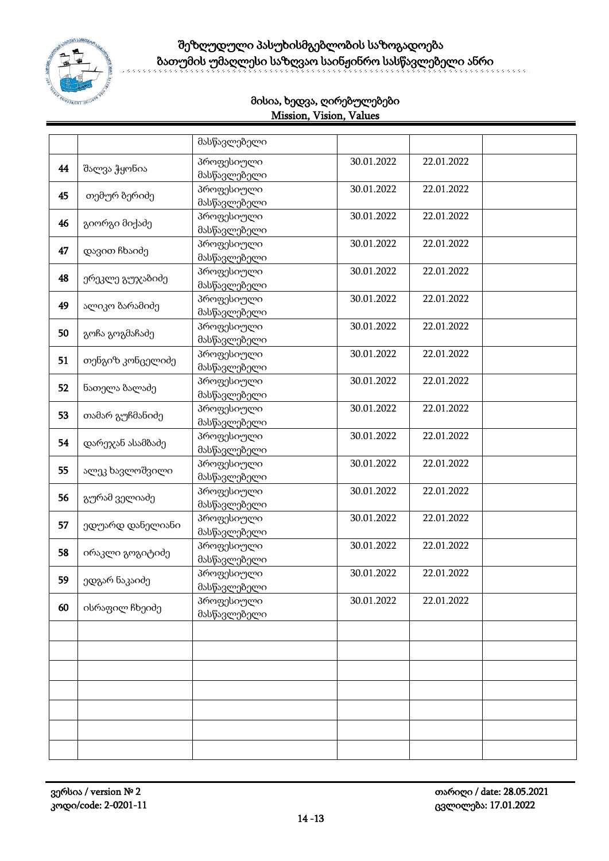

#### შეზღუდული პასუხისმგებლობის საზოგადოება ბათუმის უმაღლესი საზღვაო საინჟინრო სასწავლებელი ანრი in hole.

#### მისია, ხედვა, ღირებულებები Mission, Vision, Values

|    |                  | მასწავლებელი               |            |            |  |
|----|------------------|----------------------------|------------|------------|--|
| 44 | შალვა ჭყონია     | პროფესიული<br>მასწავლებელი | 30.01.2022 | 22.01.2022 |  |
| 45 | თემურ ბერიძე     | პროფესიული<br>მასწავლებელი | 30.01.2022 | 22.01.2022 |  |
| 46 | გიორგი მიქაძე    | პროფესიული<br>მასწავლებელი | 30.01.2022 | 22.01.2022 |  |
| 47 | დავით ჩხაიძე     | პროფესიული<br>მასწავლებელი | 30.01.2022 | 22.01.2022 |  |
| 48 | ერეკლე გუჯაბიძე  | პროფესიული<br>მასწავლებელი | 30.01.2022 | 22.01.2022 |  |
| 49 | ალიკო ბარამიძე   | პროფესიული<br>მასწავლებელი | 30.01.2022 | 22.01.2022 |  |
| 50 | გოჩა გოგმაჩაძე   | პროფესიული<br>მასწავლებელი | 30.01.2022 | 22.01.2022 |  |
| 51 | თენგიზ კონცელიძე | პროფესიული<br>მასწავლებელი | 30.01.2022 | 22.01.2022 |  |
| 52 | ნათელა ბალაძე    | პროფესიული<br>მასწავლებელი | 30.01.2022 | 22.01.2022 |  |
| 53 | თამარ გუჩმანიძე  | პროფესიული<br>მასწავლებელი | 30.01.2022 | 22.01.2022 |  |
| 54 | დარეჯან ასამბაძე | პროფესიული<br>მასწავლებელი | 30.01.2022 | 22.01.2022 |  |
| 55 | ალეკ ხავლოშვილი  | პროფესიული<br>მასწავლებელი | 30.01.2022 | 22.01.2022 |  |
| 56 | გურამ ველიაძე    | პროფესიული<br>მასწავლებელი | 30.01.2022 | 22.01.2022 |  |
| 57 | ედუარდ დანელიანი | პროფესიული<br>მასწავლებელი | 30.01.2022 | 22.01.2022 |  |
| 58 | ირაკლი გოგიტიძე  | პროფესიული<br>მასწავლებელი | 30.01.2022 | 22.01.2022 |  |
| 59 | ედგარ ნაკაიძე    | პროფესიული<br>მასწავლებელი | 30.01.2022 | 22.01.2022 |  |
| 60 | ისრაფილ ჩხეიძე   | პროფესიული<br>მასწავლებელი | 30.01.2022 | 22.01.2022 |  |
|    |                  |                            |            |            |  |
|    |                  |                            |            |            |  |
|    |                  |                            |            |            |  |
|    |                  |                            |            |            |  |
|    |                  |                            |            |            |  |
|    |                  |                            |            |            |  |
|    |                  |                            |            |            |  |